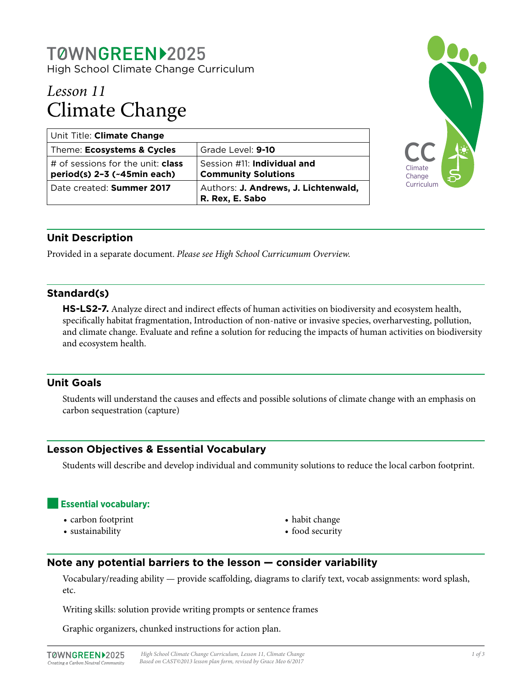## T0WNGREEN>2025 High School Climate Change Curriculum

# *Lesson 11* Climate Change

| Unit Title: <b>Climate Change</b>                                       |                                                           |
|-------------------------------------------------------------------------|-----------------------------------------------------------|
| Theme: Ecosystems & Cycles                                              | Grade Level: 9-10                                         |
| # of sessions for the unit: <b>class</b><br>period(s) 2-3 (~45min each) | Session #11: Individual and<br><b>Community Solutions</b> |
| Date created: Summer 2017                                               | Authors: J. Andrews, J. Lichtenwald,<br>R. Rex, E. Sabo   |



#### **Unit Description**

Provided in a separate document. *Please see High School Curricumum Overview.*

#### **Standard(s)**

**HS-LS2-7.** Analyze direct and indirect effects of human activities on biodiversity and ecosystem health, specifically habitat fragmentation, Introduction of non-native or invasive species, overharvesting, pollution, and climate change. Evaluate and refine a solution for reducing the impacts of human activities on biodiversity and ecosystem health.

## **Unit Goals**

Students will understand the causes and effects and possible solutions of climate change with an emphasis on carbon sequestration (capture)

## **Lesson Objectives & Essential Vocabulary**

Students will describe and develop individual and community solutions to reduce the local carbon footprint.

#### **Essential vocabulary:**

- carbon footprint
- sustainability
- habit change
- food security

## **Note any potential barriers to the lesson — consider variability**

Vocabulary/reading ability — provide scaffolding, diagrams to clarify text, vocab assignments: word splash, etc.

Writing skills: solution provide writing prompts or sentence frames

Graphic organizers, chunked instructions for action plan.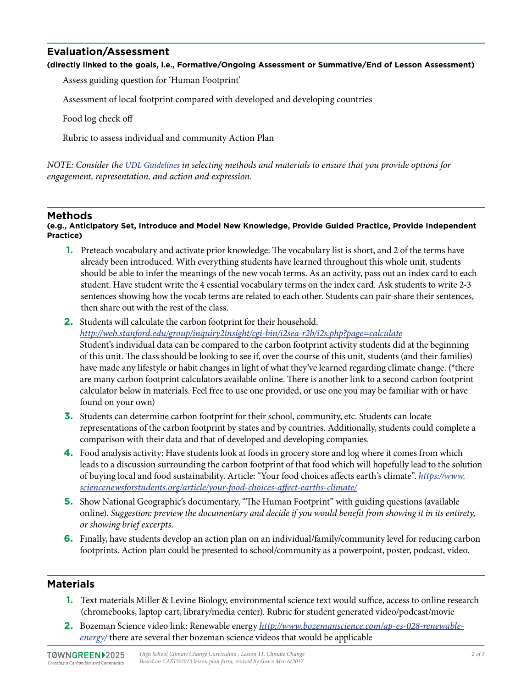#### **Evaluation/Assessment**

#### **(directly linked to the goals, i.e., Formative/Ongoing Assessment or Summative/End of Lesson Assessment)**

Assess guiding question for 'Human Footprint'

Assessment of local footprint compared with developed and developing countries

Food log check off

Rubric to assess individual and community Action Plan

*NOTE: Consider the [UDL Guidelines](http://bit.ly/1d5bjtS) in selecting methods and materials to ensure that you provide options for engagement, representation, and action and expression.* 

#### **Methods**

#### **(e.g., Anticipatory Set, Introduce and Model New Knowledge, Provide Guided Practice, Provide Independent Practice)**

- **1.** Preteach vocabulary and activate prior knowledge: The vocabulary list is short, and 2 of the terms have already been introduced. With everything students have learned throughout this whole unit, students should be able to infer the meanings of the new vocab terms. As an activity, pass out an index card to each student. Have student write the 4 essential vocabulary terms on the index card. Ask students to write 2-3 sentences showing how the vocab terms are related to each other. Students can pair-share their sentences, then share out with the rest of the class.
- **2.** Students will calculate the carbon footprint for their household.

*<http://web.stanford.edu/group/inquiry2insight/cgi-bin/i2sea-r2b/i2s.php?page=calculate>* Student's individual data can be compared to the carbon footprint activity students did at the beginning of this unit. The class should be looking to see if, over the course of this unit, students (and their families) have made any lifestyle or habit changes in light of what they've learned regarding climate change. (\*there are many carbon footprint calculators available online. There is another link to a second carbon footprint calculator below in materials. Feel free to use one provided, or use one you may be familiar with or have found on your own)

- **3.** Students can determine carbon footprint for their school, community, etc. Students can locate representations of the carbon footprint by states and by countries. Additionally, students could complete a comparison with their data and that of developed and developing companies.
- **4.** Food analysis activity: Have students look at foods in grocery store and log where it comes from which leads to a discussion surrounding the carbon footprint of that food which will hopefully lead to the solution of buying local and food sustainability. Article: "Your food choices affects earth's climate". *[https://www.](https://www.sciencenewsforstudents.org/article/your-food-choices-affect-earths-climate/) [sciencenewsforstudents.org/article/your-food-choices-affect-earths-climate/](https://www.sciencenewsforstudents.org/article/your-food-choices-affect-earths-climate/)*
- **5.** Show National Geographic's documentary, "The Human Footprint" with guiding questions (available online). *Suggestion: preview the documentary and decide if you would benefit from showing it in its entirety, or showing brief excerpts*.
- **6.** Finally, have students develop an action plan on an individual/family/community level for reducing carbon footprints. Action plan could be presented to school/community as a powerpoint, poster, podcast, video.

#### **Materials**

- **1.** Text materials Miller & Levine Biology, environmental science text would suffice, access to online research (chromebooks, laptop cart, library/media center). Rubric for student generated video/podcast/movie
- **2.** Bozeman Science video link: Renewable energy *[http://www.bozemanscience.com/ap-es-028-renewable](http://www.bozemanscience.com/ap-es-028-renewable-energy/)[energy/](http://www.bozemanscience.com/ap-es-028-renewable-energy/)* there are several ther bozeman science videos that would be applicable